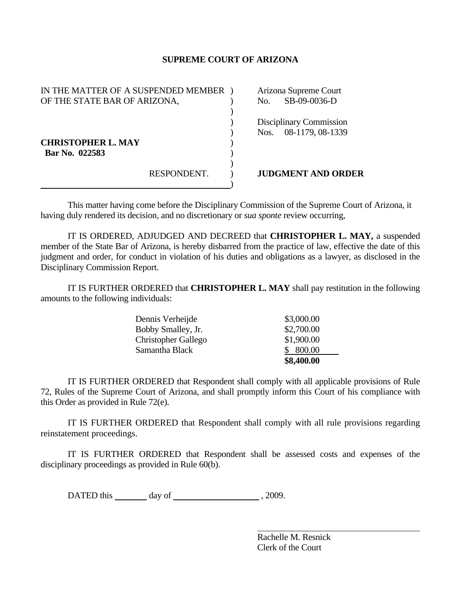## **SUPREME COURT OF ARIZONA**

| IN THE MATTER OF A SUSPENDED MEMBER |             | Arizona Supreme Court |                           |
|-------------------------------------|-------------|-----------------------|---------------------------|
| OF THE STATE BAR OF ARIZONA,        |             | No.                   | SB-09-0036-D              |
|                                     |             |                       |                           |
|                                     |             |                       | Disciplinary Commission   |
|                                     |             | Nos.                  | 08-1179, 08-1339          |
| <b>CHRISTOPHER L. MAY</b>           |             |                       |                           |
| Bar No. 022583                      |             |                       |                           |
|                                     |             |                       |                           |
|                                     | RESPONDENT. |                       | <b>JUDGMENT AND ORDER</b> |
|                                     |             |                       |                           |

This matter having come before the Disciplinary Commission of the Supreme Court of Arizona, it having duly rendered its decision, and no discretionary or *sua sponte* review occurring,

 IT IS ORDERED, ADJUDGED AND DECREED that **CHRISTOPHER L. MAY,** a suspended member of the State Bar of Arizona, is hereby disbarred from the practice of law, effective the date of this judgment and order, for conduct in violation of his duties and obligations as a lawyer, as disclosed in the Disciplinary Commission Report.

 IT IS FURTHER ORDERED that **CHRISTOPHER L. MAY** shall pay restitution in the following amounts to the following individuals:

|                            | \$8,400.00 |
|----------------------------|------------|
| Samantha Black             | \$800.00   |
| <b>Christopher Gallego</b> | \$1,900.00 |
| Bobby Smalley, Jr.         | \$2,700.00 |
| Dennis Verheijde           | \$3,000.00 |

 IT IS FURTHER ORDERED that Respondent shall comply with all applicable provisions of Rule 72, Rules of the Supreme Court of Arizona, and shall promptly inform this Court of his compliance with this Order as provided in Rule 72(e).

 IT IS FURTHER ORDERED that Respondent shall comply with all rule provisions regarding reinstatement proceedings.

 IT IS FURTHER ORDERED that Respondent shall be assessed costs and expenses of the disciplinary proceedings as provided in Rule 60(b).

DATED this day of  $\frac{1}{2009}$ , 2009.

 Rachelle M. Resnick Clerk of the Court